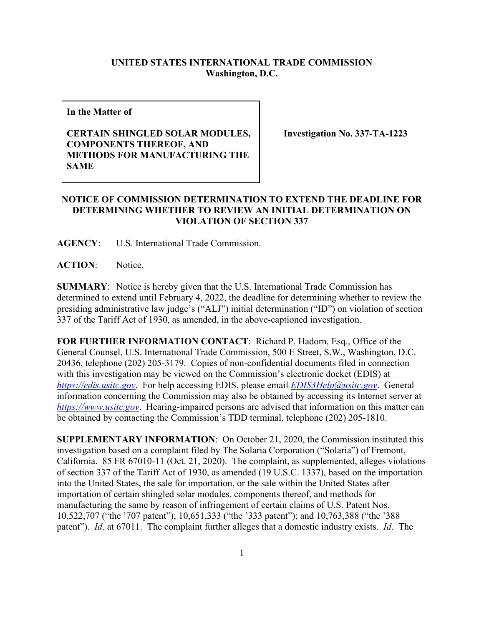## **UNITED STATES INTERNATIONAL TRADE COMMISSION Washington, D.C.**

**In the Matter of**

## **CERTAIN SHINGLED SOLAR MODULES, COMPONENTS THEREOF, AND METHODS FOR MANUFACTURING THE SAME**

**Investigation No. 337-TA-1223**

## **NOTICE OF COMMISSION DETERMINATION TO EXTEND THE DEADLINE FOR DETERMINING WHETHER TO REVIEW AN INITIAL DETERMINATION ON VIOLATION OF SECTION 337**

**AGENCY**: U.S. International Trade Commission.

**ACTION**: Notice.

**SUMMARY**: Notice is hereby given that the U.S. International Trade Commission has determined to extend until February 4, 2022, the deadline for determining whether to review the presiding administrative law judge's ("ALJ") initial determination ("ID") on violation of section 337 of the Tariff Act of 1930, as amended, in the above-captioned investigation.

**FOR FURTHER INFORMATION CONTACT**: Richard P. Hadorn, Esq., Office of the General Counsel, U.S. International Trade Commission, 500 E Street, S.W., Washington, D.C. 20436, telephone (202) 205-3179. Copies of non-confidential documents filed in connection with this investigation may be viewed on the Commission's electronic docket (EDIS) at *[https://edis.usitc.gov](https://edis.usitc.gov/)*. For help accessing EDIS, please email *[EDIS3Help@usitc.gov](mailto:EDIS3Help@usitc.gov)*. General information concerning the Commission may also be obtained by accessing its Internet server at *[https://www.usitc.gov](https://www.usitc.gov/)*. Hearing-impaired persons are advised that information on this matter can be obtained by contacting the Commission's TDD terminal, telephone (202) 205-1810.

**SUPPLEMENTARY INFORMATION**: On October 21, 2020, the Commission instituted this investigation based on a complaint filed by The Solaria Corporation ("Solaria") of Fremont, California. 85 FR 67010-11 (Oct. 21, 2020). The complaint, as supplemented, alleges violations of section 337 of the Tariff Act of 1930, as amended (19 U.S.C. 1337), based on the importation into the United States, the sale for importation, or the sale within the United States after importation of certain shingled solar modules, components thereof, and methods for manufacturing the same by reason of infringement of certain claims of U.S. Patent Nos. 10,522,707 ("the '707 patent"); 10,651,333 ("the '333 patent"); and 10,763,388 ("the '388 patent"). *Id*. at 67011. The complaint further alleges that a domestic industry exists. *Id*. The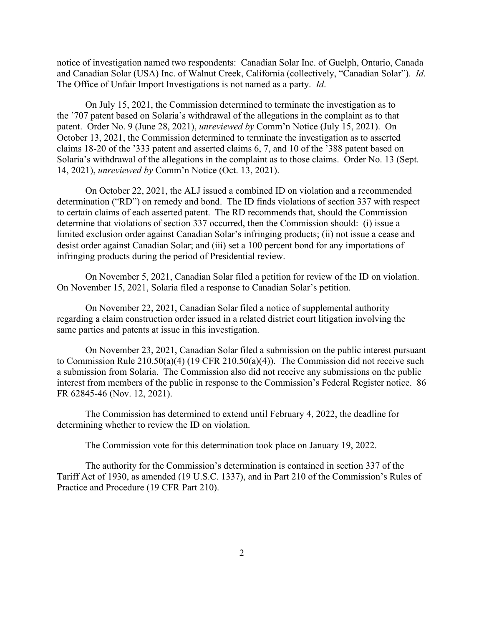notice of investigation named two respondents: Canadian Solar Inc. of Guelph, Ontario, Canada and Canadian Solar (USA) Inc. of Walnut Creek, California (collectively, "Canadian Solar"). *Id*. The Office of Unfair Import Investigations is not named as a party. *Id*.

On July 15, 2021, the Commission determined to terminate the investigation as to the '707 patent based on Solaria's withdrawal of the allegations in the complaint as to that patent. Order No. 9 (June 28, 2021), *unreviewed by* Comm'n Notice (July 15, 2021). On October 13, 2021, the Commission determined to terminate the investigation as to asserted claims 18-20 of the '333 patent and asserted claims 6, 7, and 10 of the '388 patent based on Solaria's withdrawal of the allegations in the complaint as to those claims. Order No. 13 (Sept. 14, 2021), *unreviewed by* Comm'n Notice (Oct. 13, 2021).

On October 22, 2021, the ALJ issued a combined ID on violation and a recommended determination ("RD") on remedy and bond. The ID finds violations of section 337 with respect to certain claims of each asserted patent. The RD recommends that, should the Commission determine that violations of section 337 occurred, then the Commission should: (i) issue a limited exclusion order against Canadian Solar's infringing products; (ii) not issue a cease and desist order against Canadian Solar; and (iii) set a 100 percent bond for any importations of infringing products during the period of Presidential review.

On November 5, 2021, Canadian Solar filed a petition for review of the ID on violation. On November 15, 2021, Solaria filed a response to Canadian Solar's petition.

On November 22, 2021, Canadian Solar filed a notice of supplemental authority regarding a claim construction order issued in a related district court litigation involving the same parties and patents at issue in this investigation.

On November 23, 2021, Canadian Solar filed a submission on the public interest pursuant to Commission Rule 210.50(a)(4) (19 CFR 210.50(a)(4)). The Commission did not receive such a submission from Solaria. The Commission also did not receive any submissions on the public interest from members of the public in response to the Commission's Federal Register notice. 86 FR 62845-46 (Nov. 12, 2021).

The Commission has determined to extend until February 4, 2022, the deadline for determining whether to review the ID on violation.

The Commission vote for this determination took place on January 19, 2022.

The authority for the Commission's determination is contained in section 337 of the Tariff Act of 1930, as amended (19 U.S.C. 1337), and in Part 210 of the Commission's Rules of Practice and Procedure (19 CFR Part 210).